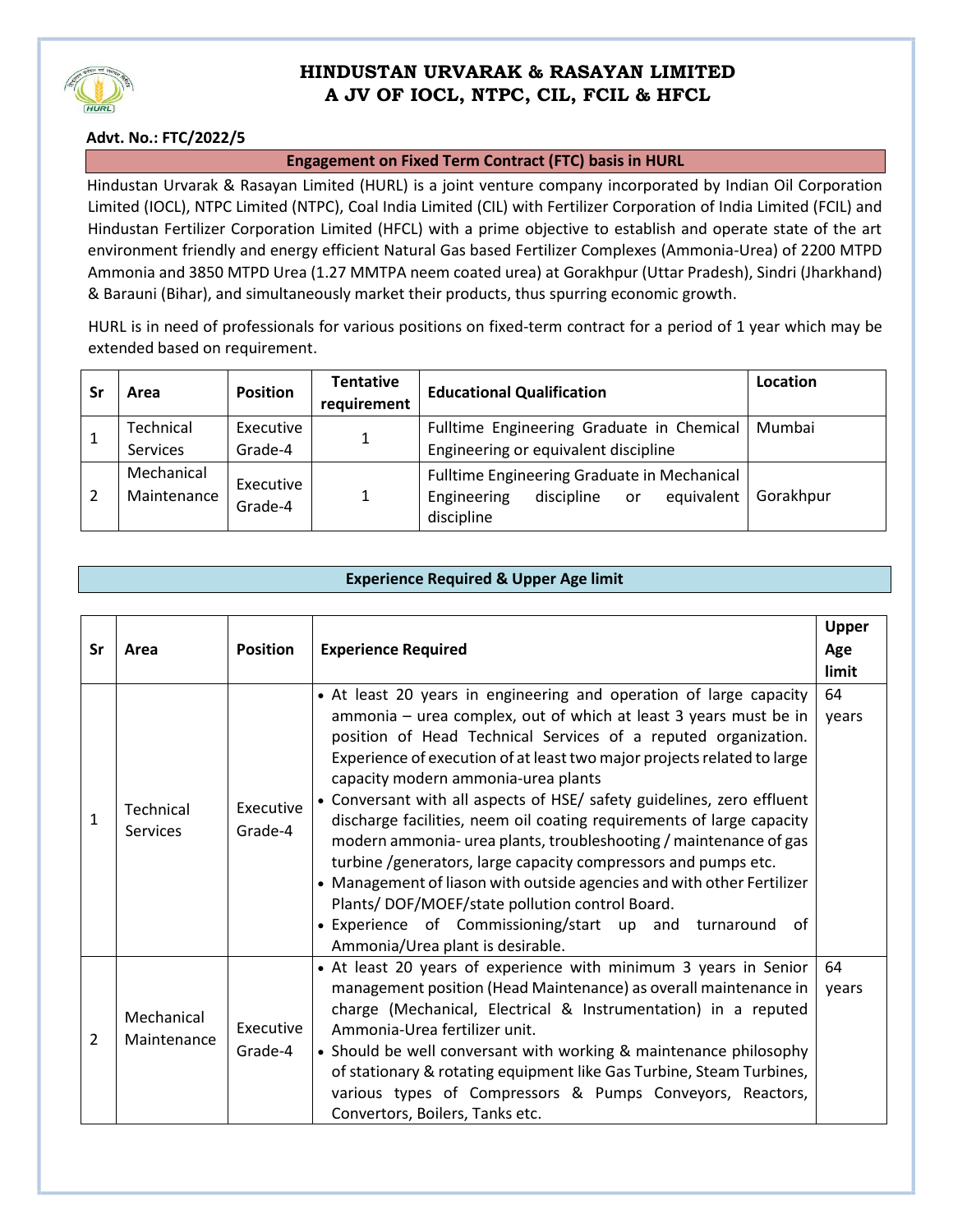

## **HINDUSTAN URVARAK & RASAYAN LIMITED A JV OF IOCL, NTPC, CIL, FCIL & HFCL**

### **Advt. No.: FTC/2022/5**

#### **Engagement on Fixed Term Contract (FTC) basis in HURL**

Hindustan Urvarak & Rasayan Limited (HURL) is a joint venture company incorporated by Indian Oil Corporation Limited (IOCL), NTPC Limited (NTPC), Coal India Limited (CIL) with Fertilizer Corporation of India Limited (FCIL) and Hindustan Fertilizer Corporation Limited (HFCL) with a prime objective to establish and operate state of the art environment friendly and energy efficient Natural Gas based Fertilizer Complexes (Ammonia-Urea) of 2200 MTPD Ammonia and 3850 MTPD Urea (1.27 MMTPA neem coated urea) at Gorakhpur (Uttar Pradesh), Sindri (Jharkhand) & Barauni (Bihar), and simultaneously market their products, thus spurring economic growth.

HURL is in need of professionals for various positions on fixed-term contract for a period of 1 year which may be extended based on requirement.

|   | Area                         | <b>Position</b>      | <b>Tentative</b><br>requirement | <b>Educational Qualification</b>                                                                           | Location  |
|---|------------------------------|----------------------|---------------------------------|------------------------------------------------------------------------------------------------------------|-----------|
|   | Technical<br><b>Services</b> | Executive<br>Grade-4 | 1                               | Fulltime Engineering Graduate in Chemical<br>Engineering or equivalent discipline                          | Mumbai    |
| 2 | Mechanical<br>Maintenance    | Executive<br>Grade-4 |                                 | Fulltime Engineering Graduate in Mechanical<br>equivalent<br>Engineering<br>discipline<br>or<br>discipline | Gorakhpur |

#### **Experience Required & Upper Age limit**

| Sr | Area                      | <b>Position</b>      | <b>Experience Required</b>                                                                                                                                                                                                                                                                                                                                                                                                                                                                                                                                                                                                                                                                                                                                                                                                                          | Upper<br>Age<br>limit |
|----|---------------------------|----------------------|-----------------------------------------------------------------------------------------------------------------------------------------------------------------------------------------------------------------------------------------------------------------------------------------------------------------------------------------------------------------------------------------------------------------------------------------------------------------------------------------------------------------------------------------------------------------------------------------------------------------------------------------------------------------------------------------------------------------------------------------------------------------------------------------------------------------------------------------------------|-----------------------|
| 1  | Technical<br>Services     | Executive<br>Grade-4 | • At least 20 years in engineering and operation of large capacity<br>ammonia – urea complex, out of which at least 3 years must be in<br>position of Head Technical Services of a reputed organization.<br>Experience of execution of at least two major projects related to large<br>capacity modern ammonia-urea plants<br>• Conversant with all aspects of HSE/ safety guidelines, zero effluent<br>discharge facilities, neem oil coating requirements of large capacity<br>modern ammonia- urea plants, troubleshooting / maintenance of gas<br>turbine /generators, large capacity compressors and pumps etc.<br>• Management of liason with outside agencies and with other Fertilizer<br>Plants/DOF/MOEF/state pollution control Board.<br>• Experience of Commissioning/start up and turnaround<br>0f<br>Ammonia/Urea plant is desirable. | 64<br>years           |
| 2  | Mechanical<br>Maintenance | Executive<br>Grade-4 | • At least 20 years of experience with minimum 3 years in Senior<br>management position (Head Maintenance) as overall maintenance in<br>charge (Mechanical, Electrical & Instrumentation) in a reputed<br>Ammonia-Urea fertilizer unit.<br>• Should be well conversant with working & maintenance philosophy<br>of stationary & rotating equipment like Gas Turbine, Steam Turbines,<br>various types of Compressors & Pumps Conveyors, Reactors,<br>Convertors, Boilers, Tanks etc.                                                                                                                                                                                                                                                                                                                                                                | 64<br>years           |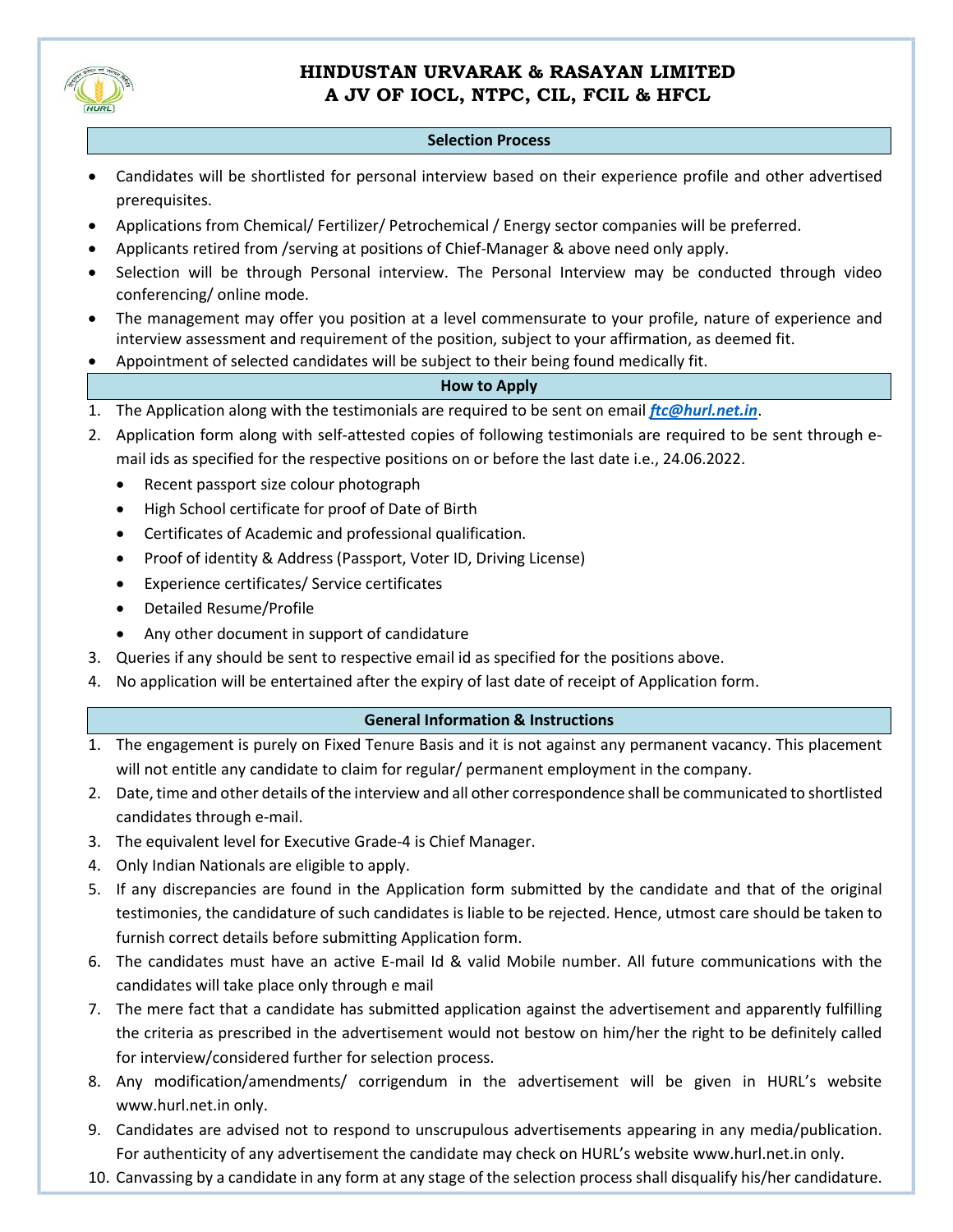

## **HINDUSTAN URVARAK & RASAYAN LIMITED A JV OF IOCL, NTPC, CIL, FCIL & HFCL**

#### **Selection Process**

- Candidates will be shortlisted for personal interview based on their experience profile and other advertised prerequisites.
- Applications from Chemical/ Fertilizer/ Petrochemical / Energy sector companies will be preferred.
- Applicants retired from /serving at positions of Chief-Manager & above need only apply.
- Selection will be through Personal interview. The Personal Interview may be conducted through video conferencing/ online mode.
- The management may offer you position at a level commensurate to your profile, nature of experience and interview assessment and requirement of the position, subject to your affirmation, as deemed fit.
- Appointment of selected candidates will be subject to their being found medically fit.

#### **How to Apply**

- 1. The Application along with the testimonials are required to be sent on email *[ftc@hurl.net.in](mailto:ftc@hurl.net.in)*.
- 2. Application form along with self-attested copies of following testimonials are required to be sent through email ids as specified for the respective positions on or before the last date i.e., 24.06.2022.
	- Recent passport size colour photograph
	- High School certificate for proof of Date of Birth
	- Certificates of Academic and professional qualification.
	- Proof of identity & Address (Passport, Voter ID, Driving License)
	- Experience certificates/ Service certificates
	- Detailed Resume/Profile
	- Any other document in support of candidature
- 3. Queries if any should be sent to respective [email](mailto:ftc@hurl.net.in) id as specified for the positions above.
- 4. No application will be entertained after the expiry of last date of receipt of Application form.

#### **General Information & Instructions**

- 1. The engagement is purely on Fixed Tenure Basis and it is not against any permanent vacancy. This placement will not entitle any candidate to claim for regular/ permanent employment in the company.
- 2. Date, time and other details of the interview and all other correspondence shall be communicated to shortlisted candidates through e-mail.
- 3. The equivalent level for Executive Grade-4 is Chief Manager.
- 4. Only Indian Nationals are eligible to apply.
- 5. If any discrepancies are found in the Application form submitted by the candidate and that of the original testimonies, the candidature of such candidates is liable to be rejected. Hence, utmost care should be taken to furnish correct details before submitting Application form.
- 6. The candidates must have an active E-mail Id & valid Mobile number. All future communications with the candidates will take place only through e mail
- 7. The mere fact that a candidate has submitted application against the advertisement and apparently fulfilling the criteria as prescribed in the advertisement would not bestow on him/her the right to be definitely called for interview/considered further for selection process.
- 8. Any modification/amendments/ corrigendum in the advertisement will be given in HURL's website [www.hurl.net.in](http://www.hurl.net.in/) only.
- 9. Candidates are advised not to respond to unscrupulous advertisements appearing in any media/publication. For authenticity of any advertisement the candidate may check on HURL's website [www.hurl.net.in](http://www.hurl.net.in/) only.
- 10. Canvassing by a candidate in any form at any stage of the selection process shall disqualify his/her candidature.